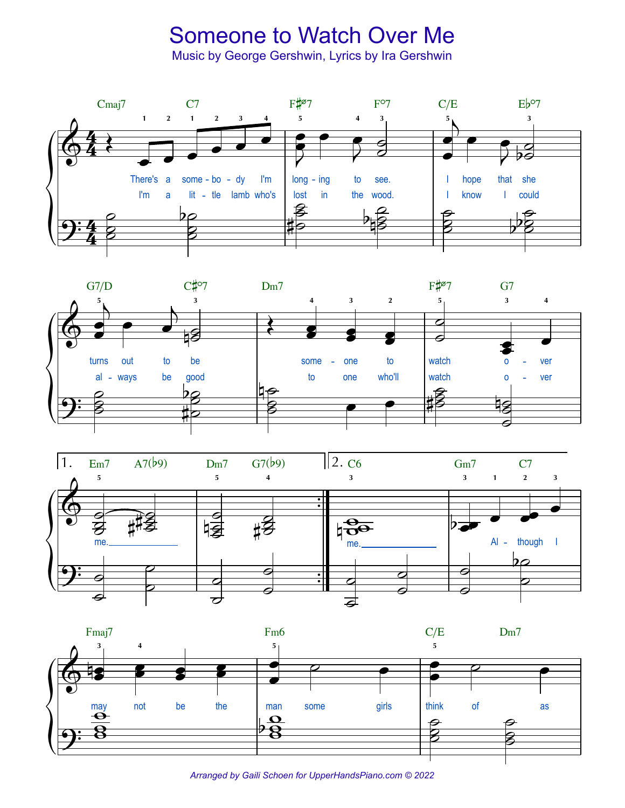## **Someone to Watch Over Me**

Music by George Gershwin, Lyrics by Ira Gershwin









Arranged by Gaili Schoen for UpperHandsPiano.com © 2022